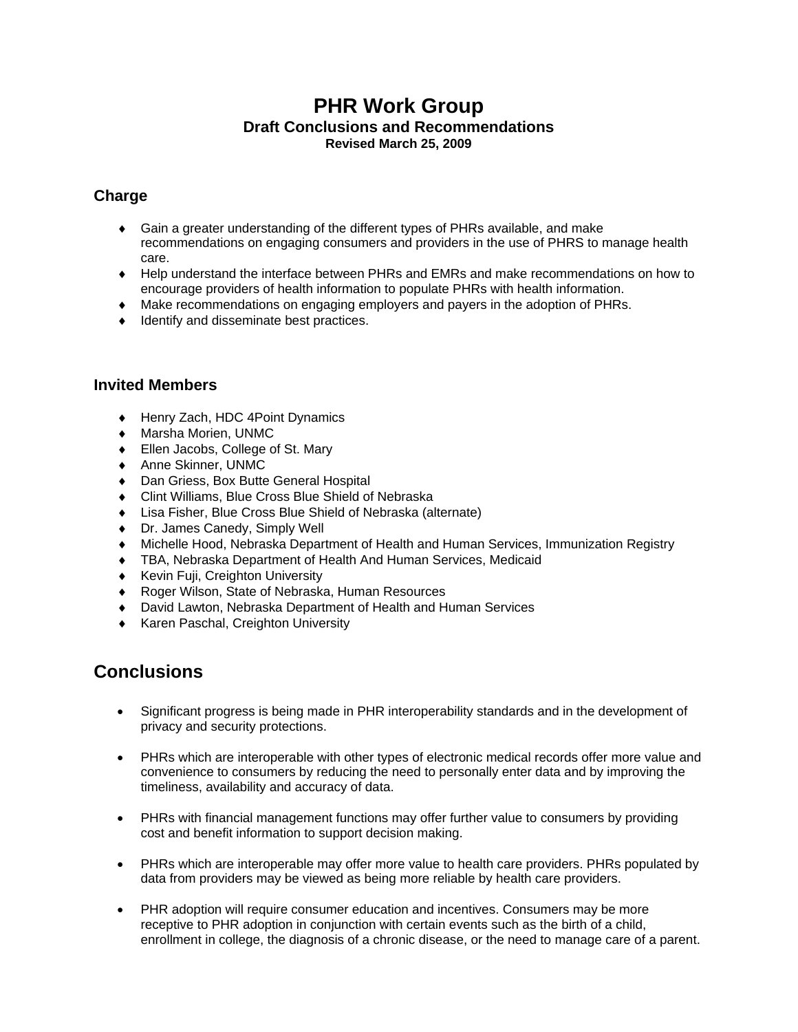### **PHR Work Group Draft Conclusions and Recommendations Revised March 25, 2009**

#### **Charge**

- ♦ Gain a greater understanding of the different types of PHRs available, and make recommendations on engaging consumers and providers in the use of PHRS to manage health care.
- ♦ Help understand the interface between PHRs and EMRs and make recommendations on how to encourage providers of health information to populate PHRs with health information.
- ♦ Make recommendations on engaging employers and payers in the adoption of PHRs.
- ♦ Identify and disseminate best practices.

#### **Invited Members**

- ♦ Henry Zach, HDC 4Point Dynamics
- ♦ Marsha Morien, UNMC
- ♦ Ellen Jacobs, College of St. Mary
- ♦ Anne Skinner, UNMC
- ♦ Dan Griess, Box Butte General Hospital
- ♦ Clint Williams, Blue Cross Blue Shield of Nebraska
- ♦ Lisa Fisher, Blue Cross Blue Shield of Nebraska (alternate)
- ♦ Dr. James Canedy, Simply Well
- ♦ Michelle Hood, Nebraska Department of Health and Human Services, Immunization Registry
- TBA, Nebraska Department of Health And Human Services, Medicaid
- ♦ Kevin Fuji, Creighton University
- ♦ Roger Wilson, State of Nebraska, Human Resources
- ♦ David Lawton, Nebraska Department of Health and Human Services
- ♦ Karen Paschal, Creighton University

# **Conclusions**

- Significant progress is being made in PHR interoperability standards and in the development of privacy and security protections.
- PHRs which are interoperable with other types of electronic medical records offer more value and convenience to consumers by reducing the need to personally enter data and by improving the timeliness, availability and accuracy of data.
- PHRs with financial management functions may offer further value to consumers by providing cost and benefit information to support decision making.
- PHRs which are interoperable may offer more value to health care providers. PHRs populated by data from providers may be viewed as being more reliable by health care providers.
- PHR adoption will require consumer education and incentives. Consumers may be more receptive to PHR adoption in conjunction with certain events such as the birth of a child, enrollment in college, the diagnosis of a chronic disease, or the need to manage care of a parent.